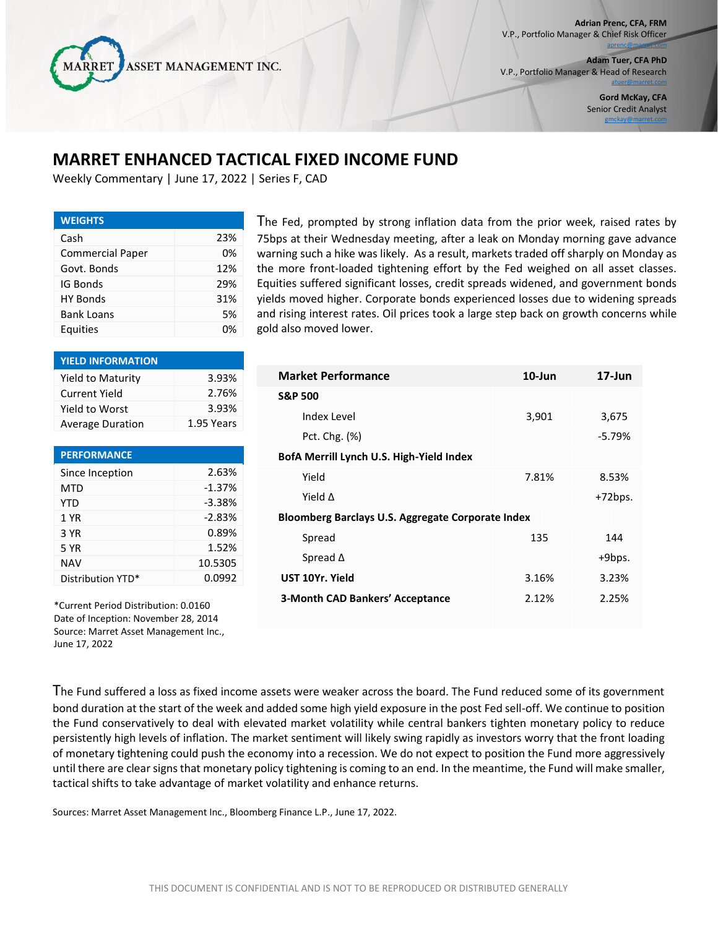

**Adam Tuer, CFA PhD**  V.P., Portfolio Manager & Head of Research [atuer@marret.com](mailto:atuer@marret.com)

> **Gord McKay, CFA**  Senior Credit Analyst [gmckay@marret.com](mailto:gmckay@marret.com)

## **MARRET ENHANCED TACTICAL FIXED INCOME FUND**

Weekly Commentary | June 17, 2022 | Series F, CAD

| <b>WEIGHTS</b>          |     |  |
|-------------------------|-----|--|
| Cash                    | 23% |  |
| <b>Commercial Paper</b> | 0%  |  |
| Govt. Bonds             | 12% |  |
| IG Bonds                | 29% |  |
| <b>HY Bonds</b>         | 31% |  |
| <b>Bank Loans</b>       | 5%  |  |
| Equities                |     |  |

The Fed, prompted by strong inflation data from the prior week, raised rates by 75bps at their Wednesday meeting, after a leak on Monday morning gave advance warning such a hike was likely. As a result, markets traded off sharply on Monday as the more front-loaded tightening effort by the Fed weighed on all asset classes. Equities suffered significant losses, credit spreads widened, and government bonds yields moved higher. Corporate bonds experienced losses due to widening spreads and rising interest rates. Oil prices took a large step back on growth concerns while gold also moved lower.

| <b>YIELD INFORMATION</b> |            |
|--------------------------|------------|
| Yield to Maturity        | 3.93%      |
| Current Yield            | 2.76%      |
| Yield to Worst           | 3.93%      |
| <b>Average Duration</b>  | 1.95 Years |

| <b>PERFORMANCE</b> |          |
|--------------------|----------|
| Since Inception    | 2.63%    |
| MTD                | $-1.37%$ |
| <b>YTD</b>         | $-3.38%$ |
| 1 YR               | $-2.83%$ |
| 3 YR               | 0.89%    |
| 5 YR               | 1.52%    |
| <b>NAV</b>         | 10.5305  |
| Distribution YTD*  | 0.0992   |

\*Current Period Distribution: 0.0160 Date of Inception: November 28, 2014 Source: Marret Asset Management Inc., June 17, 2022

| <b>Market Performance</b>                         | $10$ -Jun | 17-Jun    |  |
|---------------------------------------------------|-----------|-----------|--|
| <b>S&amp;P 500</b>                                |           |           |  |
| Index Level                                       | 3,901     | 3,675     |  |
| Pct. Chg. (%)                                     |           | $-5.79%$  |  |
| BofA Merrill Lynch U.S. High-Yield Index          |           |           |  |
| Yield                                             | 7.81%     | 8.53%     |  |
| <b>Nield A</b>                                    |           | $+72bps.$ |  |
| Bloomberg Barclays U.S. Aggregate Corporate Index |           |           |  |
| Spread                                            | 135       | 144       |  |
| Spread $\Delta$                                   |           | +9bps.    |  |
| UST 10Yr. Yield                                   | 3.16%     | 3.23%     |  |
| <b>3-Month CAD Bankers' Acceptance</b>            | 2.12%     | 2.25%     |  |
|                                                   |           |           |  |

The Fund suffered a loss as fixed income assets were weaker across the board. The Fund reduced some of its government bond duration at the start of the week and added some high yield exposure in the post Fed sell-off. We continue to position the Fund conservatively to deal with elevated market volatility while central bankers tighten monetary policy to reduce persistently high levels of inflation. The market sentiment will likely swing rapidly as investors worry that the front loading of monetary tightening could push the economy into a recession. We do not expect to position the Fund more aggressively until there are clear signs that monetary policy tightening is coming to an end. In the meantime, the Fund will make smaller, tactical shifts to take advantage of market volatility and enhance returns.

Sources: Marret Asset Management Inc., Bloomberg Finance L.P., June 17, 2022.